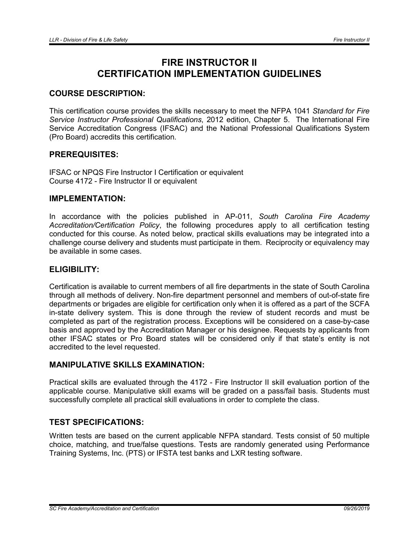# FIRE INSTRUCTOR II CERTIFICATION IMPLEMENTATION GUIDELINES

# COURSE DESCRIPTION:

This certification course provides the skills necessary to meet the NFPA 1041 *Standard for Fire Service Instructor Professional Qualifications*, 2012 edition, Chapter 5. The International Fire Service Accreditation Congress (IFSAC) and the National Professional Qualifications System (Pro Board) accredits this certification.

### PREREQUISITES:

IFSAC or NPQS Fire Instructor I Certification or equivalent Course 4172 - Fire Instructor II or equivalent

#### IMPLEMENTATION:

In accordance with the policies published in AP-011, *South Carolina Fire Academy Accreditation/Certification Policy*, the following procedures apply to all certification testing conducted for this course. As noted below, practical skills evaluations may be integrated into a challenge course delivery and students must participate in them. Reciprocity or equivalency may be available in some cases.

#### ELIGIBILITY:

Certification is available to current members of all fire departments in the state of South Carolina through all methods of delivery. Non-fire department personnel and members of out-of-state fire departments or brigades are eligible for certification only when it is offered as a part of the SCFA in-state delivery system. This is done through the review of student records and must be completed as part of the registration process. Exceptions will be considered on a case-by-case basis and approved by the Accreditation Manager or his designee. Requests by applicants from other IFSAC states or Pro Board states will be considered only if that state's entity is not accredited to the level requested.

# MANIPULATIVE SKILLS EXAMINATION:

Practical skills are evaluated through the 4172 - Fire Instructor II skill evaluation portion of the applicable course. Manipulative skill exams will be graded on a pass/fail basis. Students must successfully complete all practical skill evaluations in order to complete the class.

# TEST SPECIFICATIONS:

Written tests are based on the current applicable NFPA standard. Tests consist of 50 multiple choice, matching, and true/false questions. Tests are randomly generated using Performance Training Systems, Inc. (PTS) or IFSTA test banks and LXR testing software.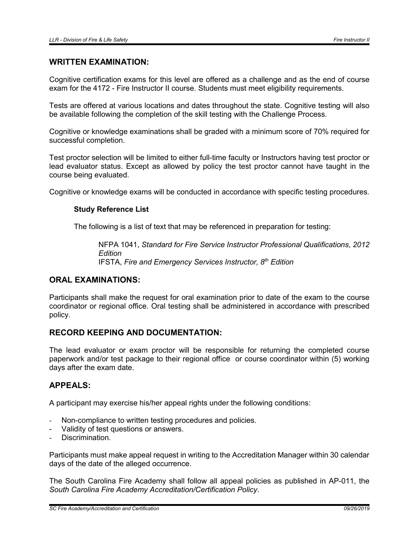#### WRITTEN EXAMINATION:

Cognitive certification exams for this level are offered as a challenge and as the end of course exam for the 4172 - Fire Instructor II course. Students must meet eligibility requirements.

Tests are offered at various locations and dates throughout the state. Cognitive testing will also be available following the completion of the skill testing with the Challenge Process.

Cognitive or knowledge examinations shall be graded with a minimum score of 70% required for successful completion.

Test proctor selection will be limited to either full-time faculty or Instructors having test proctor or lead evaluator status. Except as allowed by policy the test proctor cannot have taught in the course being evaluated.

Cognitive or knowledge exams will be conducted in accordance with specific testing procedures.

#### Study Reference List

The following is a list of text that may be referenced in preparation for testing:

NFPA 1041, *Standard for Fire Service Instructor Professional Qualifications*, *2012 Edition* IFSTA, *Fire and Emergency Services Instructor, 8th Edition*

# ORAL EXAMINATIONS:

Participants shall make the request for oral examination prior to date of the exam to the course coordinator or regional office. Oral testing shall be administered in accordance with prescribed policy.

# RECORD KEEPING AND DOCUMENTATION:

The lead evaluator or exam proctor will be responsible for returning the completed course paperwork and/or test package to their regional office or course coordinator within (5) working days after the exam date.

### APPEALS:

A participant may exercise his/her appeal rights under the following conditions:

- Non-compliance to written testing procedures and policies.
- Validity of test questions or answers.
- Discrimination.

Participants must make appeal request in writing to the Accreditation Manager within 30 calendar days of the date of the alleged occurrence.

The South Carolina Fire Academy shall follow all appeal policies as published in AP-011, the *South Carolina Fire Academy Accreditation/Certification Policy*.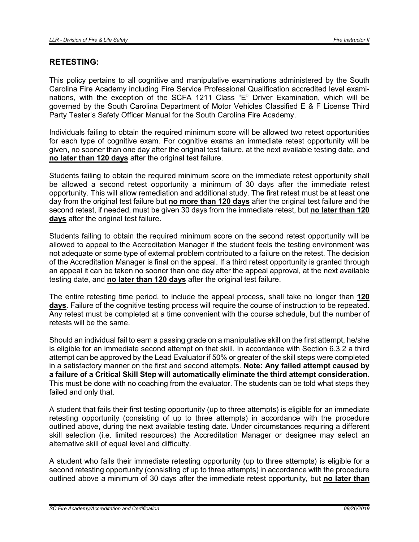### RETESTING:

This policy pertains to all cognitive and manipulative examinations administered by the South Carolina Fire Academy including Fire Service Professional Qualification accredited level examinations, with the exception of the SCFA 1211 Class "E" Driver Examination, which will be governed by the South Carolina Department of Motor Vehicles Classified E & F License Third Party Tester's Safety Officer Manual for the South Carolina Fire Academy.

Individuals failing to obtain the required minimum score will be allowed two retest opportunities for each type of cognitive exam. For cognitive exams an immediate retest opportunity will be given, no sooner than one day after the original test failure, at the next available testing date, and no later than 120 days after the original test failure.

Students failing to obtain the required minimum score on the immediate retest opportunity shall be allowed a second retest opportunity a minimum of 30 days after the immediate retest opportunity. This will allow remediation and additional study. The first retest must be at least one day from the original test failure but no more than 120 days after the original test failure and the second retest, if needed, must be given 30 days from the immediate retest, but no later than 120 days after the original test failure.

Students failing to obtain the required minimum score on the second retest opportunity will be allowed to appeal to the Accreditation Manager if the student feels the testing environment was not adequate or some type of external problem contributed to a failure on the retest. The decision of the Accreditation Manager is final on the appeal. If a third retest opportunity is granted through an appeal it can be taken no sooner than one day after the appeal approval, at the next available testing date, and no later than 120 days after the original test failure.

The entire retesting time period, to include the appeal process, shall take no longer than 120 days. Failure of the cognitive testing process will require the course of instruction to be repeated. Any retest must be completed at a time convenient with the course schedule, but the number of retests will be the same.

Should an individual fail to earn a passing grade on a manipulative skill on the first attempt, he/she is eligible for an immediate second attempt on that skill. In accordance with Section 6.3.2 a third attempt can be approved by the Lead Evaluator if 50% or greater of the skill steps were completed in a satisfactory manner on the first and second attempts. Note: Any failed attempt caused by a failure of a Critical Skill Step will automatically eliminate the third attempt consideration. This must be done with no coaching from the evaluator. The students can be told what steps they failed and only that.

A student that fails their first testing opportunity (up to three attempts) is eligible for an immediate retesting opportunity (consisting of up to three attempts) in accordance with the procedure outlined above, during the next available testing date. Under circumstances requiring a different skill selection (i.e. limited resources) the Accreditation Manager or designee may select an alternative skill of equal level and difficulty.

A student who fails their immediate retesting opportunity (up to three attempts) is eligible for a second retesting opportunity (consisting of up to three attempts) in accordance with the procedure outlined above a minimum of 30 days after the immediate retest opportunity, but no later than